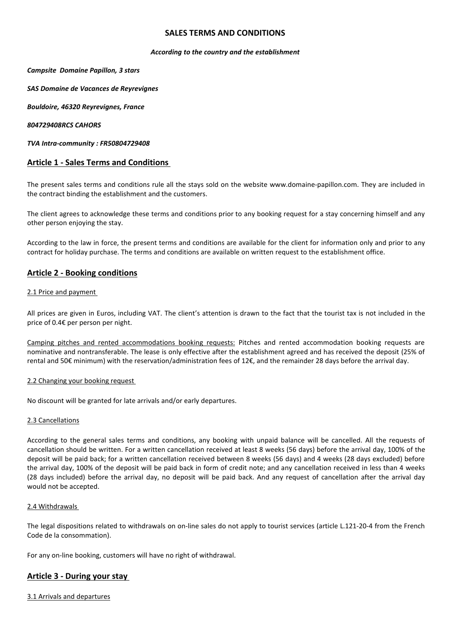# **SALES TERMS AND CONDITIONS**

#### *According to the country and the establishment*

#### *Campsite Domaine Papillon, 3 stars*

*SAS Domaine de Vacances de Reyrevignes*

*Bouldoire, 46320 Reyrevignes, France*

#### *804729408RCS CAHORS*

*TVA Intra-community : FR50804729408*

# **Article 1 - Sales Terms and Conditions**

The present sales terms and conditions rule all the stays sold on the website www.domaine-papillon.com. They are included in the contract binding the establishment and the customers.

The client agrees to acknowledge these terms and conditions prior to any booking request for a stay concerning himself and any other person enjoying the stay.

According to the law in force, the present terms and conditions are available for the client for information only and prior to any contract for holiday purchase. The terms and conditions are available on written request to the establishment office.

# **Article 2 - Booking conditions**

#### 2.1 Price and payment

All prices are given in Euros, including VAT. The client's attention is drawn to the fact that the tourist tax is not included in the price of 0.4€ per person per night.

Camping pitches and rented accommodations booking requests: Pitches and rented accommodation booking requests are nominative and nontransferable. The lease is only effective after the establishment agreed and has received the deposit (25% of rental and 50€ minimum) with the reservation/administration fees of 12€, and the remainder 28 days before the arrival day.

### 2.2 Changing your booking request

No discount will be granted for late arrivals and/or early departures.

### 2.3 Cancellations

According to the general sales terms and conditions, any booking with unpaid balance will be cancelled. All the requests of cancellation should be written. For a written cancellation received at least 8 weeks (56 days) before the arrival day, 100% of the deposit will be paid back; for a written cancellation received between 8 weeks (56 days) and 4 weeks (28 days excluded) before the arrival day, 100% of the deposit will be paid back in form of credit note; and any cancellation received in less than 4 weeks (28 days included) before the arrival day, no deposit will be paid back. And any request of cancellation after the arrival day would not be accepted.

### 2.4 Withdrawals

The legal dispositions related to withdrawals on on-line sales do not apply to tourist services (article L.121-20-4 from the French Code de la consommation).

For any on-line booking, customers will have no right of withdrawal.

# **Article 3 - During your stay**

3.1 Arrivals and departures